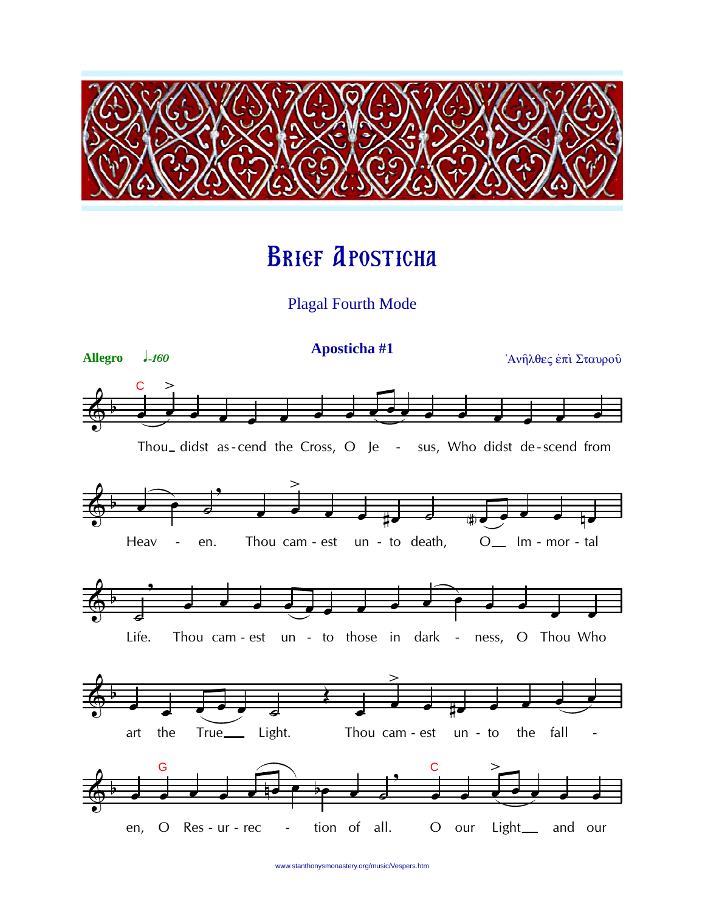

# **BRIEF APOSTICHA**

**Plagal Fourth Mode** 



www.stanthonysmonastery.org/music/Vespers.htm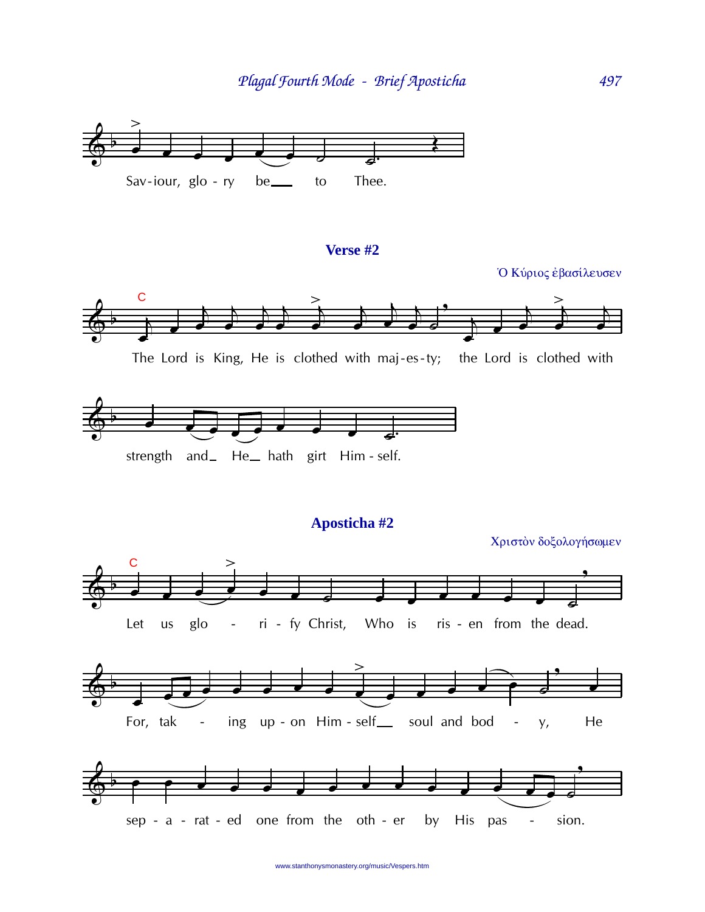

# Verse #2

Ο Κύριος έβασίλευσεν



497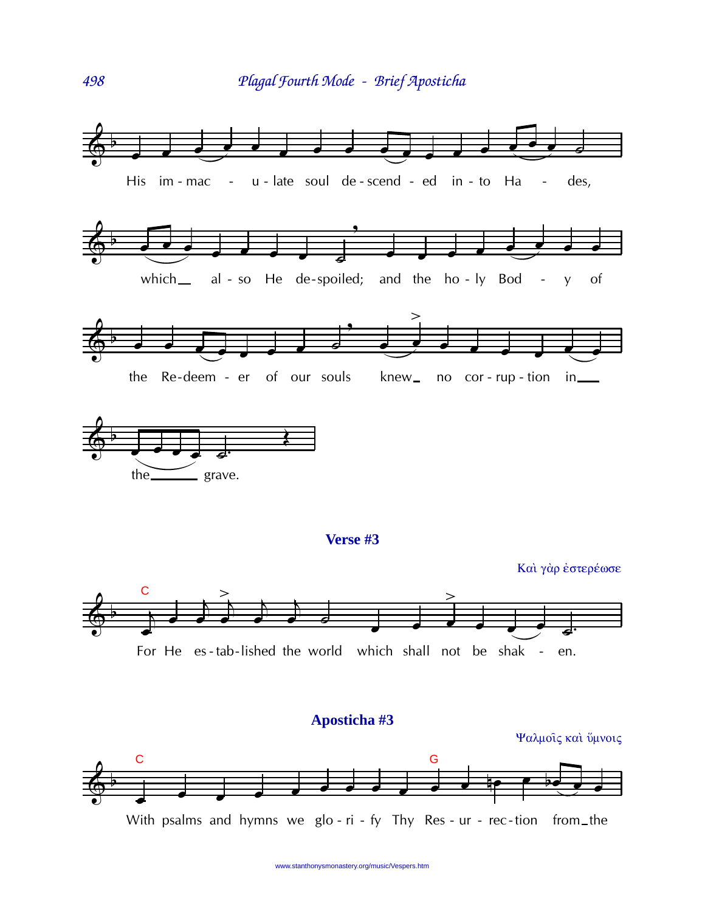



www.stanthonysmonastery.org/music/Vespers.htm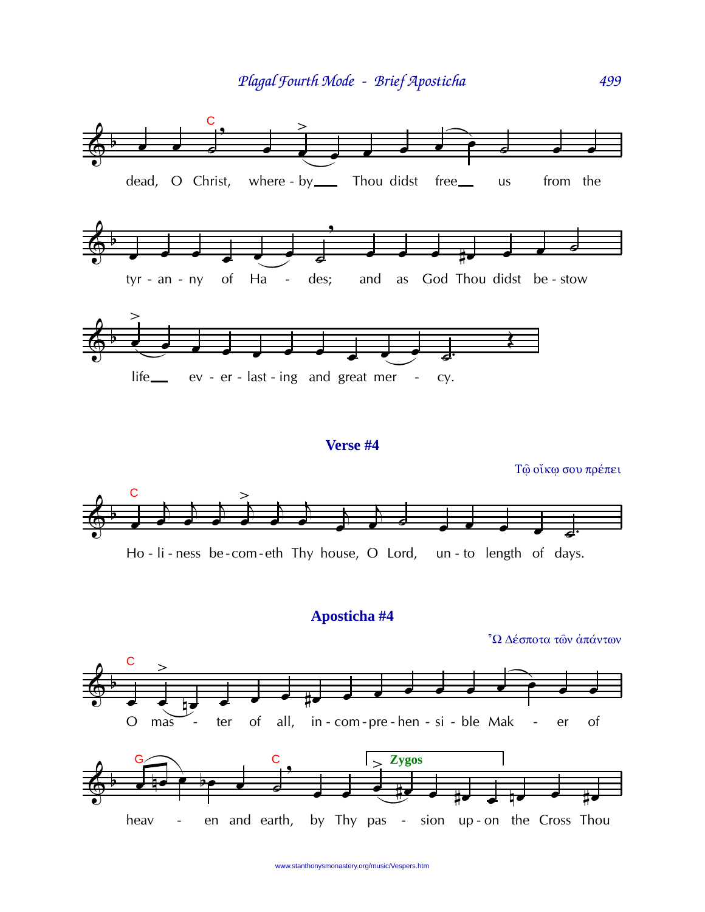

#### Verse #4

Τώ οίκω σου πρέπει



## Aposticha #4

<sup>7</sup>Ω Δέσποτα των άπάντων

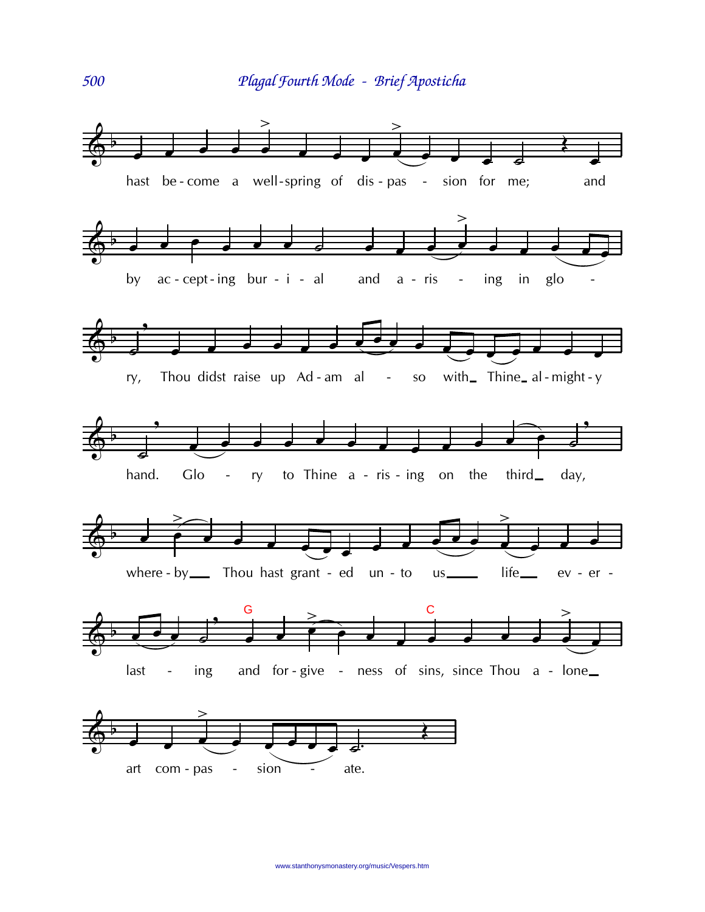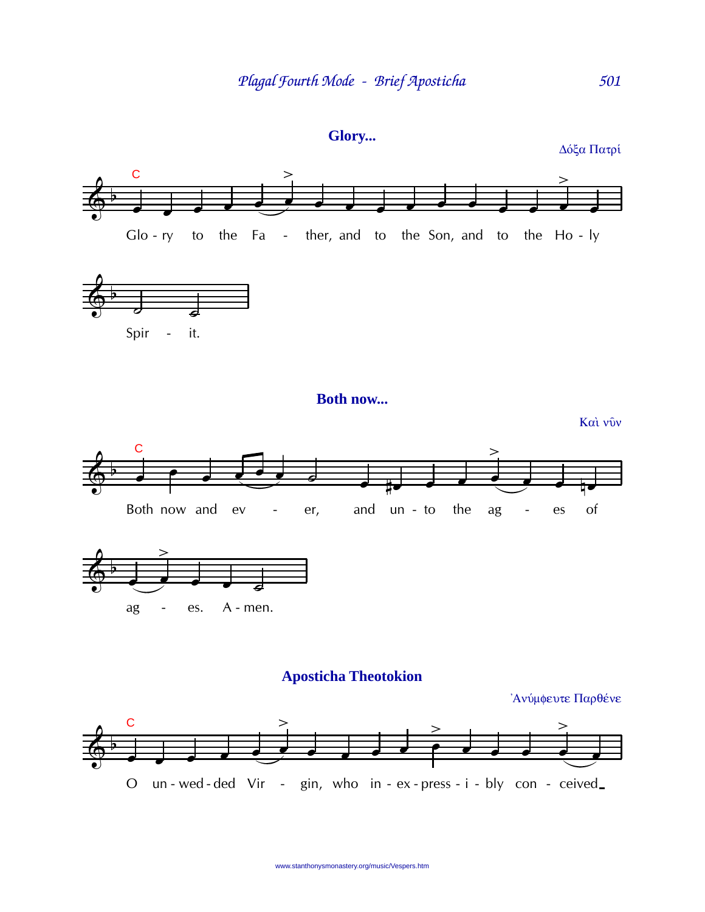



 $\mathbf C$ 

 $\mathbf C$ 

## **Aposticha Theotokion**

Ανύμφευτε Παρθένε